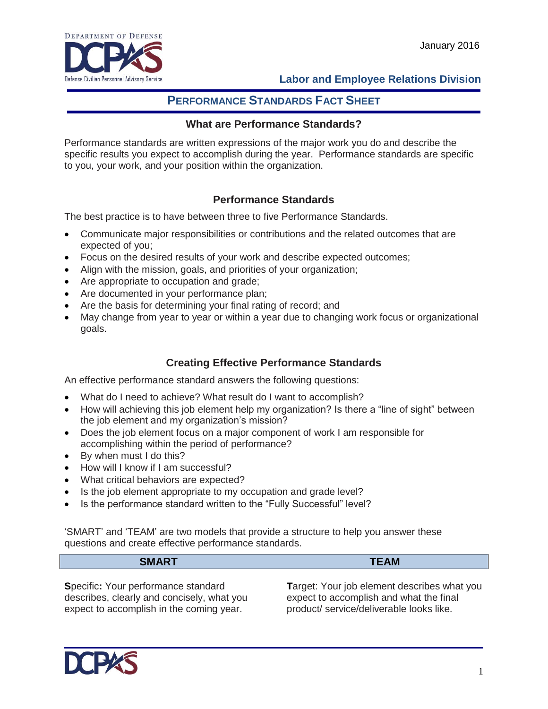

## **Labor and Employee Relations Division**

# **PERFORMANCE STANDARDS FACT SHEET**

#### **What are Performance Standards?**

Performance standards are written expressions of the major work you do and describe the specific results you expect to accomplish during the year. Performance standards are specific to you, your work, and your position within the organization.

## **Performance Standards**

The best practice is to have between three to five Performance Standards.

- Communicate major responsibilities or contributions and the related outcomes that are expected of you;
- Focus on the desired results of your work and describe expected outcomes;
- Align with the mission, goals, and priorities of your organization;
- Are appropriate to occupation and grade;
- Are documented in your performance plan;
- Are the basis for determining your final rating of record; and
- May change from year to year or within a year due to changing work focus or organizational goals.

## **Creating Effective Performance Standards**

An effective performance standard answers the following questions:

- What do I need to achieve? What result do I want to accomplish?
- How will achieving this job element help my organization? Is there a "line of sight" between the job element and my organization's mission?
- Does the job element focus on a major component of work I am responsible for accomplishing within the period of performance?
- By when must I do this?
- How will I know if I am successful?
- What critical behaviors are expected?
- Is the job element appropriate to my occupation and grade level?
- Is the performance standard written to the "Fully Successful" level?

'SMART' and 'TEAM' are two models that provide a structure to help you answer these questions and create effective performance standards.

| 0.11807<br>. | <b>TABL</b><br>--<br><u>. – AM</u> |
|--------------|------------------------------------|
|              |                                    |

**S**pecific**:** Your performance standard describes, clearly and concisely, what you expect to accomplish in the coming year.

**T**arget: Your job element describes what you expect to accomplish and what the final product/ service/deliverable looks like.